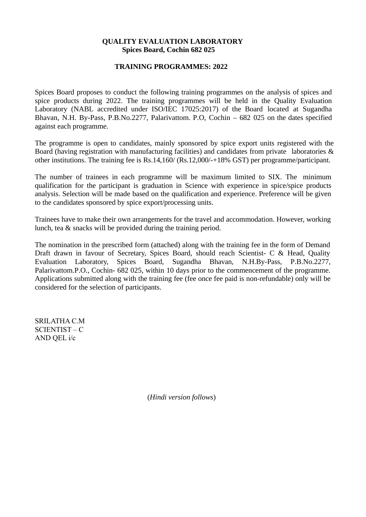#### **QUALITY EVALUATION LABORATORY Spices Board, Cochin 682 025**

#### **TRAINING PROGRAMMES: 2022**

Spices Board proposes to conduct the following training programmes on the analysis of spices and spice products during 2022. The training programmes will be held in the Quality Evaluation Laboratory (NABL accredited under ISO/IEC 17025:2017) of the Board located at Sugandha Bhavan, N.H. By-Pass, P.B.No.2277, Palarivattom. P.O, Cochin – 682 025 on the dates specified against each programme.

The programme is open to candidates, mainly sponsored by spice export units registered with the Board (having registration with manufacturing facilities) and candidates from private laboratories & other institutions. The training fee is Rs.14,160/ (Rs.12,000/-+18% GST) per programme/participant.

The number of trainees in each programme will be maximum limited to SIX. The minimum qualification for the participant is graduation in Science with experience in spice/spice products analysis. Selection will be made based on the qualification and experience. Preference will be given to the candidates sponsored by spice export/processing units.

Trainees have to make their own arrangements for the travel and accommodation. However, working lunch, tea & snacks will be provided during the training period.

The nomination in the prescribed form (attached) along with the training fee in the form of Demand Draft drawn in favour of Secretary, Spices Board, should reach Scientist- C & Head, Quality Evaluation Laboratory, Spices Board, Sugandha Bhavan, N.H.By-Pass, P.B.No.2277, Palarivattom.P.O., Cochin- 682 025, within 10 days prior to the commencement of the programme. Applications submitted along with the training fee (fee once fee paid is non-refundable) only will be considered for the selection of participants.

SRILATHA C.M SCIENTIST – C AND QEL i/c

(*Hindi version follows*)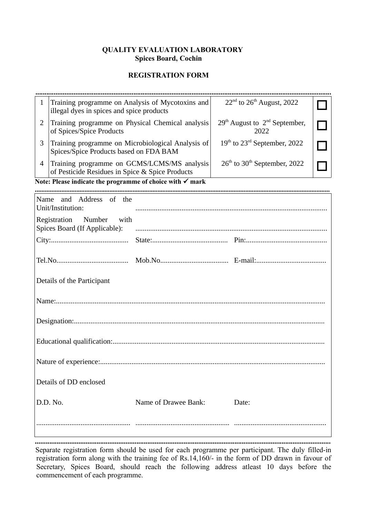### **QUALITY EVALUATION LABORATORY Spices Board, Cochin**

# **REGISTRATION FORM**

| $\mathbf{1}$                                                 | Training programme on Analysis of Mycotoxins and<br>illegal dyes in spices and spice products  |                      | 22 <sup>nd</sup> to 26 <sup>th</sup> August, 2022    |  |  |
|--------------------------------------------------------------|------------------------------------------------------------------------------------------------|----------------------|------------------------------------------------------|--|--|
| $\overline{2}$                                               | Training programme on Physical Chemical analysis<br>of Spices/Spice Products                   |                      | $29th$ August to $2nd$ September,<br>2022            |  |  |
| 3                                                            | Training programme on Microbiological Analysis of<br>Spices/Spice Products based on FDA BAM    |                      | 19 <sup>th</sup> to 23 <sup>rd</sup> September, 2022 |  |  |
| $\overline{4}$                                               | Training programme on GCMS/LCMS/MS analysis<br>of Pesticide Residues in Spice & Spice Products |                      | 26 <sup>th</sup> to 30 <sup>th</sup> September, 2022 |  |  |
|                                                              | Note: Please indicate the programme of choice with $\checkmark$ mark                           |                      |                                                      |  |  |
|                                                              |                                                                                                |                      |                                                      |  |  |
|                                                              | Name and Address of the<br>Unit/Institution:                                                   |                      |                                                      |  |  |
| Registration Number<br>with<br>Spices Board (If Applicable): |                                                                                                |                      |                                                      |  |  |
|                                                              |                                                                                                |                      |                                                      |  |  |
|                                                              |                                                                                                |                      |                                                      |  |  |
| Details of the Participant                                   |                                                                                                |                      |                                                      |  |  |
|                                                              |                                                                                                |                      |                                                      |  |  |
|                                                              |                                                                                                |                      |                                                      |  |  |
|                                                              |                                                                                                |                      |                                                      |  |  |
|                                                              |                                                                                                |                      |                                                      |  |  |
| Details of DD enclosed                                       |                                                                                                |                      |                                                      |  |  |
|                                                              | D.D. No.                                                                                       | Name of Drawee Bank: | Date:                                                |  |  |
|                                                              |                                                                                                |                      |                                                      |  |  |

**...................................................................................................................................................................** Separate registration form should be used for each programme per participant. The duly filled-in registration form along with the training fee of Rs.14,160/- in the form of DD drawn in favour of Secretary, Spices Board, should reach the following address atleast 10 days before the commencement of each programme.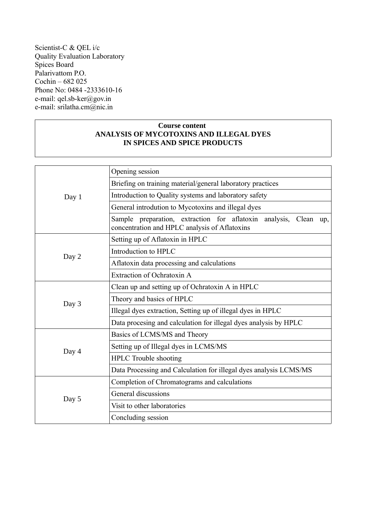Scientist-C & QEL i/c Quality Evaluation Laboratory Spices Board Palarivattom P.O. Cochin – 682 025 Phone No: 0484 -2333610-16 e-mail: qel.sb-ker@gov.in e-mail: srilatha.cm@nic.in

## **Course content ANALYSIS OF MYCOTOXINS AND ILLEGAL DYES IN SPICES AND SPICE PRODUCTS**

|       | Opening session                                                                                                      |
|-------|----------------------------------------------------------------------------------------------------------------------|
|       | Briefing on training material/general laboratory practices                                                           |
| Day 1 | Introduction to Quality systems and laboratory safety                                                                |
|       | General introdution to Mycotoxins and illegal dyes                                                                   |
|       | Sample preparation, extraction for aflatoxin analysis, Clean<br>up,<br>concentration and HPLC analysis of Aflatoxins |
|       | Setting up of Aflatoxin in HPLC                                                                                      |
| Day 2 | Introduction to HPLC                                                                                                 |
|       | Aflatoxin data processing and calculations                                                                           |
|       | Extraction of Ochratoxin A                                                                                           |
|       | Clean up and setting up of Ochratoxin A in HPLC                                                                      |
| Day 3 | Theory and basics of HPLC                                                                                            |
|       | Illegal dyes extraction, Setting up of illegal dyes in HPLC                                                          |
|       | Data procesing and calculation for illegal dyes analysis by HPLC                                                     |
|       | Basics of LCMS/MS and Theory                                                                                         |
| Day 4 | Setting up of Illegal dyes in LCMS/MS                                                                                |
|       | <b>HPLC</b> Trouble shooting                                                                                         |
|       | Data Processing and Calculation for illegal dyes analysis LCMS/MS                                                    |
|       | Completion of Chromatograms and calculations                                                                         |
| Day 5 | General discussions                                                                                                  |
|       | Visit to other laboratories                                                                                          |
|       | Concluding session                                                                                                   |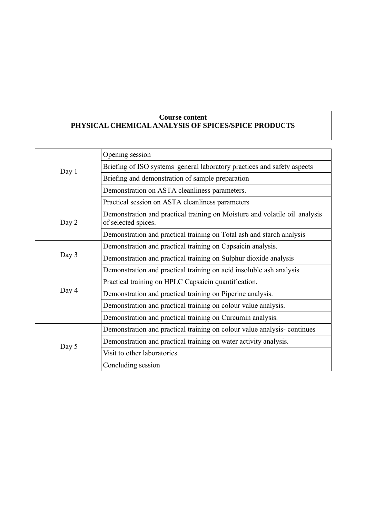# **Course content PHYSICAL CHEMICAL ANALYSIS OF SPICES/SPICE PRODUCTS**

|       | Opening session                                                                                   |
|-------|---------------------------------------------------------------------------------------------------|
| Day 1 | Briefing of ISO systems general laboratory practices and safety aspects                           |
|       | Briefing and demonstration of sample preparation                                                  |
|       | Demonstration on ASTA cleanliness parameters.                                                     |
|       | Practical session on ASTA cleanliness parameters                                                  |
| Day 2 | Demonstration and practical training on Moisture and volatile oil analysis<br>of selected spices. |
|       | Demonstration and practical training on Total ash and starch analysis                             |
|       | Demonstration and practical training on Capsaicin analysis.                                       |
| Day 3 | Demonstration and practical training on Sulphur dioxide analysis                                  |
|       | Demonstration and practical training on acid insoluble ash analysis                               |
|       | Practical training on HPLC Capsaicin quantification.                                              |
| Day 4 | Demonstration and practical training on Piperine analysis.                                        |
|       | Demonstration and practical training on colour value analysis.                                    |
|       | Demonstration and practical training on Curcumin analysis.                                        |
|       | Demonstration and practical training on colour value analysis-continues                           |
| Day 5 | Demonstration and practical training on water activity analysis.                                  |
|       | Visit to other laboratories.                                                                      |
|       | Concluding session                                                                                |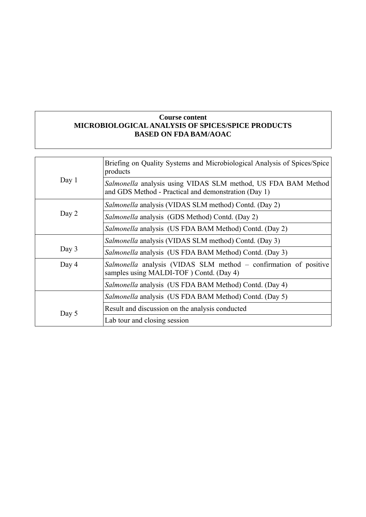## **Course content MICROBIOLOGICAL ANALYSIS OF SPICES/SPICE PRODUCTS BASED ON FDA BAM/AOAC**

|       | Briefing on Quality Systems and Microbiological Analysis of Spices/Spice<br>products                                  |
|-------|-----------------------------------------------------------------------------------------------------------------------|
| Day 1 | Salmonella analysis using VIDAS SLM method, US FDA BAM Method<br>and GDS Method - Practical and demonstration (Day 1) |
|       | Salmonella analysis (VIDAS SLM method) Contd. (Day 2)                                                                 |
| Day 2 | <i>Salmonella</i> analysis (GDS Method) Contd. (Day 2)                                                                |
|       | Salmonella analysis (US FDA BAM Method) Contd. (Day 2)                                                                |
|       | Salmonella analysis (VIDAS SLM method) Contd. (Day 3)                                                                 |
| Day 3 | Salmonella analysis (US FDA BAM Method) Contd. (Day 3)                                                                |
| Day 4 | Salmonella analysis (VIDAS SLM method – confirmation of positive<br>samples using MALDI-TOF) Contd. (Day 4)           |
|       | Salmonella analysis (US FDA BAM Method) Contd. (Day 4)                                                                |
|       | Salmonella analysis (US FDA BAM Method) Contd. (Day 5)                                                                |
| Day 5 | Result and discussion on the analysis conducted                                                                       |
|       | Lab tour and closing session                                                                                          |